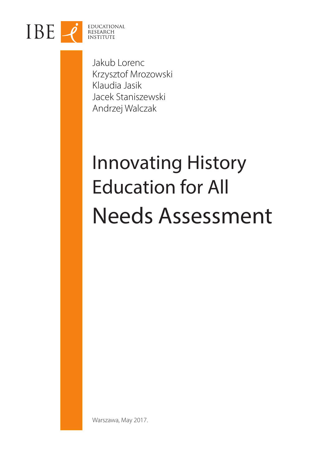

Jakub Lorenc Krzysztof Mrozowski Klaudia Jasik Jacek Staniszewski Andrzej Walczak

# Innovating History Education for All Needs Assessment

Warszawa, May 2017.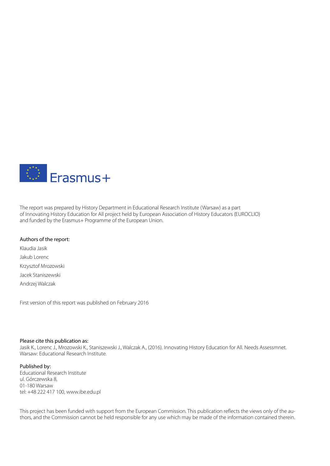

The report was prepared by History Department in Educational Research Institute (Warsaw) as a part of Innovating History Education for All project held by European Association of History Educators (EUROCLIO) and funded by the Erasmus+ Programme of the European Union.

#### Authors of the report:

Klaudia Jasik Jakub Lorenc Krzysztof Mrozowski Jacek Staniszewski Andrzej Walczak

First version of this report was published on February 2016

#### Please cite this publication as:

Jasik K., Lorenc J., Mrozowski K., Staniszewski J., Walczak A., (2016). Innovating History Education for All. Needs Assessmnet. Warsaw: Educational Research Institute.

#### Published by:

Educational Research Institute ul. Górczewska 8, 01-180 Warsaw tel: +48 222 417 100, www.ibe.edu.pl

This project has been funded with support from the European Commission. This publication reflects the views only of the authors, and the Commission cannot be held responsible for any use which may be made of the information contained therein.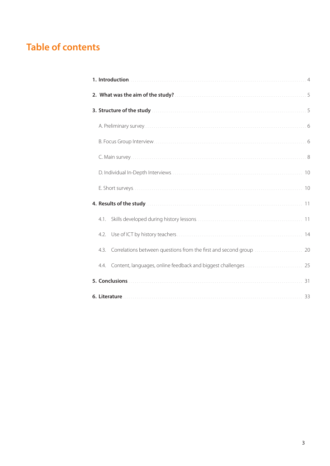# **Table of contents**

| 4.1.                                                                    |  |
|-------------------------------------------------------------------------|--|
| 4.2.                                                                    |  |
| 4.3. Correlations between questions from the first and second group  20 |  |
| 4.4. Content, languages, online feedback and biggest challenges  25     |  |
|                                                                         |  |
|                                                                         |  |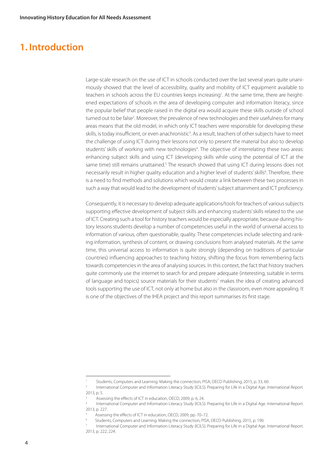# **1. Introduction**

Large-scale research on the use of ICT in schools conducted over the last several years quite unanimously showed that the level of accessibility, quality and mobility of ICT equipment available to teachers in schools across the EU countries keeps increasing<sup>1</sup>. At the same time, there are heightened expectations of schools in the area of developing computer and information literacy, since the popular belief that people raised in the digital era would acquire these skills outside of school turned out to be false<sup>2</sup>. Moreover, the prevalence of new technologies and their usefulness for many areas means that the old model, in which only ICT teachers were responsible for developing these skills, is today insufficient, or even anachronistic<sup>3</sup>. As a result, teachers of other subjects have to meet the challenge of using ICT during their lessons not only to present the material but also to develop students' skills of working with new technologies<sup>4</sup>. The objective of interrelating these two areas: enhancing subject skills and using ICT (developing skills while using the potential of ICT at the same time) still remains unattained.<sup>5</sup> The research showed that using ICT during lessons does not necessarily result in higher quality education and a higher level of students' skills<sup>6</sup>. Therefore, there is a need to find methods and solutions which would create a link between these two processes in such a way that would lead to the development of students' subject attainment and ICT proficiency.

Consequently, it is necessary to develop adequate applications/tools for teachers of various subjects supporting effective development of subject skills and enhancing students' skills related to the use of ICT. Creating such a tool for history teachers would be especially appropriate, because during history lessons students develop a number of competencies useful in the world of universal access to information of various, often questionable, quality. These competencies include selecting and ranking information, synthesis of content, or drawing conclusions from analysed materials. At the same time, this universal access to information is quite strongly (depending on traditions of particular countries) influencing approaches to teaching history, shifting the focus from remembering facts towards competencies in the area of analysing sources. In this context, the fact that history teachers quite commonly use the internet to search for and prepare adequate (interesting, suitable in terms of language and topics) source materials for their students<sup>7</sup> makes the idea of creating advanced tools supporting the use of ICT, not only at home but also in the classroom, even more appealing. It is one of the objectives of the IHEA project and this report summarises its first stage.

Students, Computers and Learning. Making the connection, PISA, OECD Publishing, 2015, p. 33, 60.

<sup>&</sup>lt;sup>2</sup> International Computer and Information Literacy Study (ICILS). Preparing for Life in a Digital Age. International Report. 2013, p. 5.

Assessing the effects of ICT in education, OECD, 2009, p. 6, 24.

International Computer and Information Literacy Study (ICILS). Preparing for Life in a Digital Age. International Report. 2013, p. 227.

<sup>5</sup> Assessing the effects of ICT in education, OECD, 2009, pp. 70–72.

<sup>6</sup> Students, Computers and Learning. Making the connection, PISA, OECD Publishing, 2015, p. 190.

International Computer and Information Literacy Study (ICILS). Preparing for Life in a Digital Age. International Report. 2013, p. 222, 224.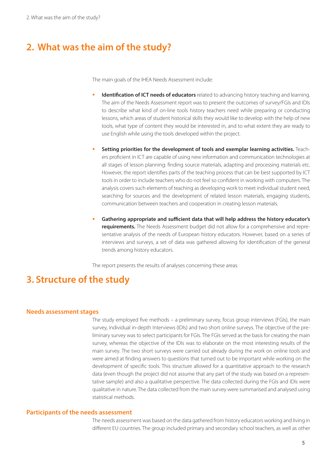# **2. What was the aim of the study?**

The main goals of the IHEA Needs Assessment include:

- **Identification of ICT needs of educators** related to advancing history teaching and learning. The aim of the Needs Assessment report was to present the outcomes of survey/FGIs and IDIs to describe what kind of on-line tools history teachers need while preparing or conducting lessons, which areas of student historical skills they would like to develop with the help of new tools, what type of content they would be interested in, and to what extent they are ready to use English while using the tools developed within the project.
- **Setting priorities for the development of tools and exemplar learning activities.** Teachers proficient in ICT are capable of using new information and communication technologies at all stages of lesson planning: finding source materials, adapting and processing materials etc. However, the report identifies parts of the teaching process that can be best supported by ICT tools in order to include teachers who do not feel so confident in working with computers. The analysis covers such elements of teaching as developing work to meet individual student need, searching for sources and the development of related lesson materials, engaging students, communication between teachers and cooperation in creating lesson materials.
- **Gathering appropriate and sufficient data that will help address the history educator's requirements.** The Needs Assessment budget did not allow for a comprehensive and representative analysis of the needs of European history educators. However, based on a series of interviews and surveys, a set of data was gathered allowing for identification of the general trends among history educators.

The report presents the results of analyses concerning these areas.

# **3. Structure of the study**

#### **Needs assessment stages**

The study employed five methods – a preliminary survey, focus group interviews (FGIs), the main survey, individual in-depth Interviews (IDIs) and two short online surveys. The objective of the preliminary survey was to select participants for FGIs. The FGIs served as the basis for creating the main survey, whereas the objective of the IDIs was to elaborate on the most interesting results of the main survey. The two short surveys were carried out already during the work on online tools and were aimed at finding answers to questions that turned out to be important while working on the development of specific tools. This structure allowed for a quantitative approach to the research data (even though the project did not assume that any part of the study was based on a representative sample) and also a qualitative perspective. The data collected during the FGIs and IDIs were qualitative in nature. The data collected from the main survey were summarised and analysed using statistical methods.

#### **Participants of the needs assessment**

The needs assessment was based on the data gathered from history educators working and living in different EU countries. The group included primary and secondary school teachers, as well as other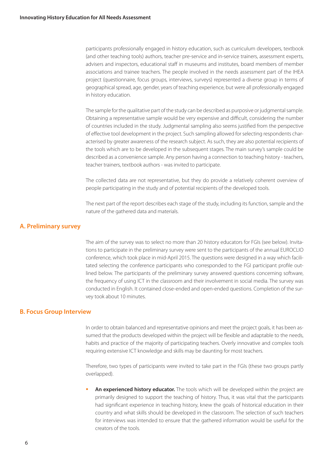participants professionally engaged in history education, such as curriculum developers, textbook (and other teaching tools) authors, teacher pre-service and in-service trainers, assessment experts, advisers and inspectors, educational staff in museums and institutes, board members of member associations and trainee teachers. The people involved in the needs assessment part of the IHEA project (questionnaire, focus groups, interviews, surveys) represented a diverse group in terms of geographical spread, age, gender, years of teaching experience, but were all professionally engaged in history education.

The sample for the qualitative part of the study can be described as purposive or judgmental sample. Obtaining a representative sample would be very expensive and difficult, considering the number of countries included in the study. Judgmental sampling also seems justified from the perspective of effective tool development in the project. Such sampling allowed for selecting respondents characterised by greater awareness of the research subject. As such, they are also potential recipients of the tools which are to be developed in the subsequent stages. The main survey's sample could be described as a convenience sample. Any person having a connection to teaching history - teachers, teacher trainers, textbook authors - was invited to participate.

The collected data are not representative, but they do provide a relatively coherent overview of people participating in the study and of potential recipients of the developed tools.

The next part of the report describes each stage of the study, including its function, sample and the nature of the gathered data and materials.

# **A. Preliminary survey**

The aim of the survey was to select no more than 20 history educators for FGIs (see below). Invitations to participate in the preliminary survey were sent to the participants of the annual EUROCLIO conference, which took place in mid-April 2015. The questions were designed in a way which facilitated selecting the conference participants who corresponded to the FGI participant profile outlined below. The participants of the preliminary survey answered questions concerning software, the frequency of using ICT in the classroom and their involvement in social media. The survey was conducted in English. It contained close-ended and open-ended questions. Completion of the survey took about 10 minutes.

## **B. Focus Group Interview**

In order to obtain balanced and representative opinions and meet the project goals, it has been assumed that the products developed within the project will be flexible and adaptable to the needs, habits and practice of the majority of participating teachers. Overly innovative and complex tools requiring extensive ICT knowledge and skills may be daunting for most teachers.

Therefore, two types of participants were invited to take part in the FGIs (these two groups partly overlapped).

 **An experienced history educator.** The tools which will be developed within the project are primarily designed to support the teaching of history. Thus, it was vital that the participants had significant experience in teaching history, knew the goals of historical education in their country and what skills should be developed in the classroom. The selection of such teachers for interviews was intended to ensure that the gathered information would be useful for the creators of the tools.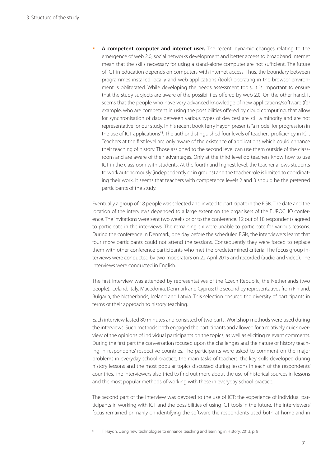**A competent computer and internet user.** The recent, dynamic changes relating to the emergence of web 2.0, social networks development and better access to broadband internet mean that the skills necessary for using a stand-alone computer are not sufficient. The future of ICT in education depends on computers with internet access. Thus, the boundary between programmes installed locally and web applications (tools) operating in the browser environment is obliterated. While developing the needs assessment tools, it is important to ensure that the study subjects are aware of the possibilities offered by web 2.0. On the other hand, it seems that the people who have very advanced knowledge of new applications/software (for example, who are competent in using the possibilities offered by cloud computing, that allow for synchronisation of data between various types of devices) are still a minority and are not representative for our study. In his recent book Terry Haydn presents "a model for progression in the use of ICT applications"<sup>8</sup>. The author distinguished four levels of teachers' proficiency in ICT. Teachers at the first level are only aware of the existence of applications which could enhance their teaching of history. Those assigned to the second level can use them outside of the classroom and are aware of their advantages. Only at the third level do teachers know how to use ICT in the classroom with students. At the fourth and highest level, the teacher allows students to work autonomously (independently or in groups) and the teacher role is limited to coordinating their work. It seems that teachers with competence levels 2 and 3 should be the preferred participants of the study.

Eventually a group of 18 people was selected and invited to participate in the FGIs. The date and the location of the interviews depended to a large extent on the organisers of the EUROCLIO conference. The invitations were sent two weeks prior to the conference. 12 out of 18 respondents agreed to participate in the interviews. The remaining six were unable to participate for various reasons. During the conference in Denmark, one day before the scheduled FGIs, the interviewers learnt that four more participants could not attend the sessions. Consequently they were forced to replace them with other conference participants who met the predetermined criteria. The focus group interviews were conducted by two moderators on 22 April 2015 and recorded (audio and video). The interviews were conducted in English.

The first interview was attended by representatives of the Czech Republic, the Netherlands (two people), Iceland, Italy, Macedonia, Denmark and Cyprus; the second by representatives from Finland, Bulgaria, the Netherlands, Iceland and Latvia. This selection ensured the diversity of participants in terms of their approach to history teaching.

Each interview lasted 80 minutes and consisted of two parts. Workshop methods were used during the interviews. Such methods both engaged the participants and allowed for a relatively quick overview of the opinions of individual participants on the topics, as well as eliciting relevant comments. During the first part the conversation focused upon the challenges and the nature of history teaching in respondents' respective countries. The participants were asked to comment on the major problems in everyday school practice, the main tasks of teachers, the key skills developed during history lessons and the most popular topics discussed during lessons in each of the respondents' countries. The interviewers also tried to find out more about the use of historical sources in lessons and the most popular methods of working with these in everyday school practice.

The second part of the interview was devoted to the use of ICT; the experience of individual participants in working with ICT and the possibilities of using ICT tools in the future. The interviewers' focus remained primarily on identifying the software the respondents used both at home and in

<sup>8</sup> T. Haydn, Using new technologies to enhance teaching and learning in History, 2013, p. 8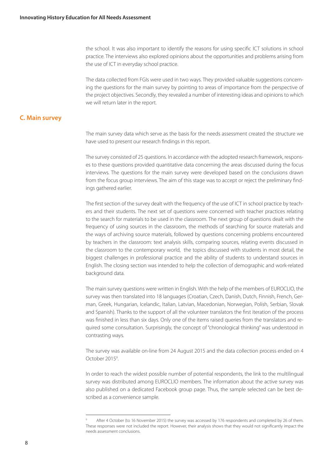the school. It was also important to identify the reasons for using specific ICT solutions in school practice. The interviews also explored opinions about the opportunities and problems arising from the use of ICT in everyday school practice.

The data collected from FGIs were used in two ways. They provided valuable suggestions concerning the questions for the main survey by pointing to areas of importance from the perspective of the project objectives. Secondly, they revealed a number of interesting ideas and opinions to which we will return later in the report.

# **C. Main survey**

The main survey data which serve as the basis for the needs assessment created the structure we have used to present our research findings in this report.

The survey consisted of 25 questions. In accordance with the adopted research framework, responses to these questions provided quantitative data concerning the areas discussed during the focus interviews. The questions for the main survey were developed based on the conclusions drawn from the focus group interviews. The aim of this stage was to accept or reject the preliminary findings gathered earlier.

The first section of the survey dealt with the frequency of the use of ICT in school practice by teachers and their students. The next set of questions were concerned with teacher practices relating to the search for materials to be used in the classroom. The next group of questions dealt with the frequency of using sources in the classroom, the methods of searching for source materials and the ways of archiving source materials, followed by questions concerning problems encountered by teachers in the classroom: text analysis skills, comparing sources, relating events discussed in the classroom to the contemporary world, the topics discussed with students in most detail, the biggest challenges in professional practice and the ability of students to understand sources in English. The closing section was intended to help the collection of demographic and work-related background data.

The main survey questions were written in English. With the help of the members of EUROCLIO, the survey was then translated into 18 languages (Croatian, Czech, Danish, Dutch, Finnish, French, German, Greek, Hungarian, Icelandic, Italian, Latvian, Macedonian, Norwegian, Polish, Serbian, Slovak and Spanish). Thanks to the support of all the volunteer translators the first iteration of the process was finished in less than six days. Only one of the items raised queries from the translators and required some consultation. Surprisingly, the concept of "chronological thinking" was understood in contrasting ways.

The survey was available on-line from 24 August 2015 and the data collection process ended on 4 October 2015<sup>9</sup>.

In order to reach the widest possible number of potential respondents, the link to the multilingual survey was distributed among EUROCLIO members. The information about the active survey was also published on a dedicated Facebook group page. Thus, the sample selected can be best described as a convenience sample.

<sup>9</sup> After 4 October (to 16 November 2015) the survey was accessed by 176 respondents and completed by 26 of them. These responses were not included the report. However, their analysis shows that they would not significantly impact the needs assessment conclusions.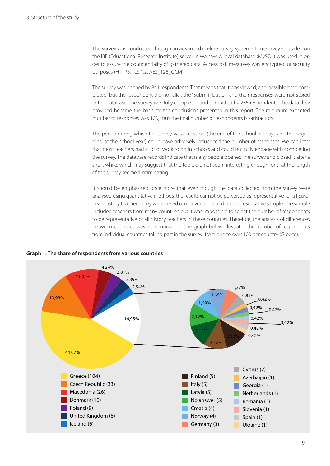The survey was conducted through an advanced on-line survey system - Limesurvey - installed on the IBE (Educational Research Institute) server in Warsaw. A local database (MySQL) was used in order to assure the confidentiality of gathered data. Access to Limesurvey was encrypted for security purposes (HTTPS, TLS 1.2, AES\_128\_GCM).

The survey was opened by 841 respondents. That means that it was viewed, and possibly even completed, but the respondent did not click the "Submit" button and their responses were not stored in the database. The survey was fully completed and submitted by 235 respondents. The data they provided became the basis for the conclusions presented in this report. The minimum expected number of responses was 100, thus the final number of respondents is satisfactory.

The period during which the survey was accessible (the end of the school holidays and the beginning of the school year) could have adversely influenced the number of responses. We can infer that most teachers had a lot of work to do in schools and could not fully engage with completing the survey. The database records indicate that many people opened the survey and closed it after a short while, which may suggest that the topic did not seem interesting enough, or that the length of the survey seemed intimidating.

It should be emphasised once more that even though the data collected from the survey were analysed using quantitative methods, the results cannot be perceived as representative for all European history teachers; they were based on convenience and not representative sample. The sample included teachers from many countries but it was impossible to select the number of respondents to be representative of all history teachers in these countries. Therefore, the analysis of differences between countries was also impossible. The graph below illustrates the number of respondents from individual countries taking part in the survey; from one to over 100 per country (Greece).



**Graph 1. The share of respondents from various countries**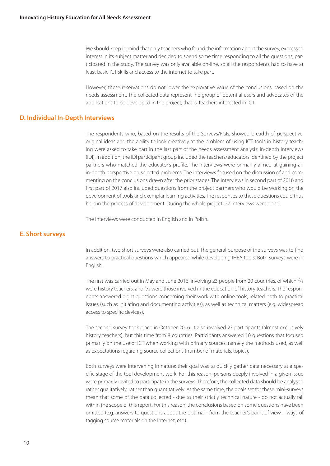We should keep in mind that only teachers who found the information about the survey, expressed interest in its subject matter and decided to spend some time responding to all the questions, participated in the study. The survey was only available on-line, so all the respondents had to have at least basic ICT skills and access to the internet to take part.

However, these reservations do not lower the explorative value of the conclusions based on the needs assessment. The collected data represent he group of potential users and advocates of the applications to be developed in the project; that is, teachers interested in ICT.

# **D. Individual In-Depth Interviews**

The respondents who, based on the results of the Surveys/FGIs, showed breadth of perspective, original ideas and the ability to look creatively at the problem of using ICT tools in history teaching were asked to take part in the last part of the needs assessment analysis: in-depth interviews (IDI). In addition, the IDI participant group included the teachers/educators identified by the project partners who matched the educator's profile. The interviews were primarily aimed at gaining an in-depth perspective on selected problems. The interviews focused on the discussion of and commenting on the conclusions drawn after the prior stages. The interviews in second part of 2016 and first part of 2017 also included questions from the project partners who would be working on the development of tools and exemplar learning activities. The responses to these questions could thus help in the process of development. During the whole project 27 interviews were done.

The interviews were conducted in English and in Polish.

## **E. Short surveys**

In addition, two short surveys were also carried out. The general purpose of the surveys was to find answers to practical questions which appeared while developing IHEA tools. Both surveys were in English.

The first was carried out in May and June 2016, involving 23 people from 20 countries, of which  $\frac{2}{3}$ were history teachers, and <sup>1</sup>/3 were those involved in the education of history teachers. The respondents answered eight questions concerning their work with online tools, related both to practical issues (such as initiating and documenting activities), as well as technical matters (e.g. widespread access to specific devices).

The second survey took place in October 2016. It also involved 23 participants (almost exclusively history teachers), but this time from 8 countries. Participants answered 10 questions that focused primarily on the use of ICT when working with primary sources, namely the methods used, as well as expectations regarding source collections (number of materials, topics).

Both surveys were intervening in nature: their goal was to quickly gather data necessary at a specific stage of the tool development work. For this reason, persons deeply involved in a given issue were primarily invited to participate in the surveys. Therefore, the collected data should be analysed rather qualitatively, rather than quantitatively. At the same time, the goals set for these mini-surveys mean that some of the data collected - due to their strictly technical nature - do not actually fall within the scope of this report. For this reason, the conclusions based on some questions have been omitted (e.g. answers to questions about the optimal - from the teacher's point of view – ways of tagging source materials on the Internet, etc.).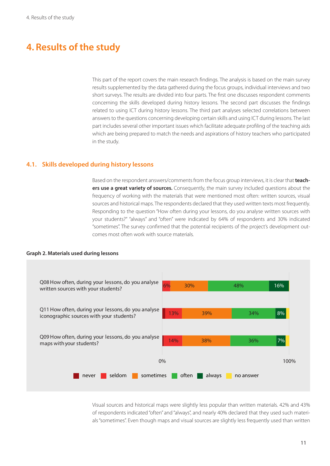# **4. Results of the study**

This part of the report covers the main research findings. The analysis is based on the main survey results supplemented by the data gathered during the focus groups, individual interviews and two short surveys. The results are divided into four parts. The first one discusses respondent comments concerning the skills developed during history lessons. The second part discusses the findings related to using ICT during history lessons. The third part analyses selected correlations between answers to the questions concerning developing certain skills and using ICT during lessons. The last part includes several other important issues which facilitate adequate profiling of the teaching aids which are being prepared to match the needs and aspirations of history teachers who participated in the study.

# **4.1. Skills developed during history lessons**

Based on the respondent answers/comments from the focus group interviews, it is clear that**teachers use a great variety of sources.** Consequently, the main survey included questions about the frequency of working with the materials that were mentioned most often: written sources, visual sources and historical maps. The respondents declared that they used written texts most frequently. Responding to the question "How often during your lessons, do you analyse written sources with your students?" "always" and "often" were indicated by 64% of respondents and 30% indicated "sometimes". The survey confirmed that the potential recipients of the project's development outcomes most often work with source materials.

#### **Graph 2. Materials used during lessons**

![](_page_10_Figure_6.jpeg)

Visual sources and historical maps were slightly less popular than written materials. 42% and 43% of respondents indicated "often" and "always", and nearly 40% declared that they used such materials "sometimes". Even though maps and visual sources are slightly less frequently used than written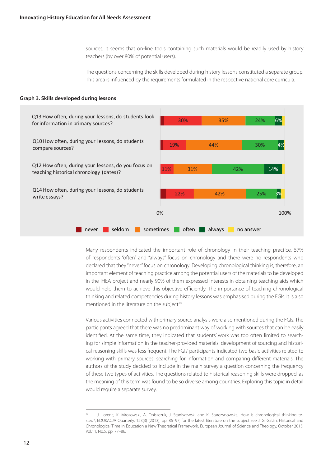sources, it seems that on-line tools containing such materials would be readily used by history teachers (by over 80% of potential users).

The questions concerning the skills developed during history lessons constituted a separate group. This area is influenced by the requirements formulated in the respective national core curricula.

#### **Graph 3. Skills developed during lessons**

![](_page_11_Figure_4.jpeg)

Many respondents indicated the important role of chronology in their teaching practice. 57% of respondents "often" and "always" focus on chronology and there were no respondents who declared that they "never" focus on chronology. Developing chronological thinking is, therefore, an important element of teaching practice among the potential users of the materials to be developed in the IHEA project and nearly 90% of them expressed interests in obtaining teaching aids which would help them to achieve this objective efficiently. The importance of teaching chronological thinking and related competencies during history lessons was emphasised during the FGIs. It is also mentioned in the literature on the subject<sup>10</sup>.

Various activities connected with primary source analysis were also mentioned during the FGIs. The participants agreed that there was no predominant way of working with sources that can be easily identified. At the same time, they indicated that students' work was too often limited to searching for simple information in the teacher-provided materials; development of sourcing and historical reasoning skills was less frequent. The FGIs' participants indicated two basic activities related to working with primary sources: searching for information and comparing different materials. The authors of the study decided to include in the main survey a question concerning the frequency of these two types of activities. The questions related to historical reasoning skills were dropped, as the meaning of this term was found to be so diverse among countries. Exploring this topic in detail would require a separate survey.

J. Lorenc, K. Mrozowski, A. Oniszczuk, J. Staniszewski and K. Starczynowska, How is chronological thinking tested?, EDUKACJA Quarterly, 123(3) (2013), pp. 86–97; for the latest literature on the subject see J. G. Galán, Historical and Chronological Time in Education a New Theoretical Framework, European Journal of Science and Theology, October 2015, Vol.11, No.5, pp. 77–86.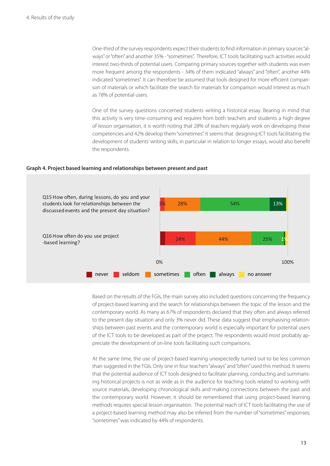One-third of the survey respondents expect their students to find information in primary sources "always" or "often" and another 35% - "sometimes". Therefore, ICT tools facilitating such activities would interest two-thirds of potential users. Comparing primary sources together with students was even more frequent among the respondents - 34% of them indicated "always" and "often", another 44% indicated "sometimes". It can therefore be assumed that tools designed for more efficient comparison of materials or which facilitate the search for materials for comparison would interest as much as 78% of potential users.

One of the survey questions concerned students writing a historical essay. Bearing in mind that this activity is very time-consuming and requires from both teachers and students a high degree of lesson organisation, it is worth noting that 28% of teachers regularly work on developing these competencies and 42% develop them "sometimes". It seems that designing ICT tools facilitating the development of students' writing skills, in particular in relation to longer essays, would also benefit the respondents.

#### **Graph 4. Project based learning and relationships between present and past**

![](_page_12_Figure_4.jpeg)

Based on the results of the FGIs, the main survey also included questions concerning the frequency of project-based learning and the search for relationships between the topic of the lesson and the contemporary world. As many as 67% of respondents declared that they often and always referred to the present day situation and only 3% never did. These data suggest that emphasising relationships between past events and the contemporary world is especially important for potential users of the ICT tools to be developed as part of the project. The respondents would most probably appreciate the development of on-line tools facilitating such comparisons.

At the same time, the use of project-based learning unexpectedly turned out to be less common than suggested in the FGIs. Only one in four teachers "always" and "often" used this method. It seems that the potential audience of ICT tools designed to facilitate planning, conducting and summarising historical projects is not as wide as in the audience for teaching tools related to working with source materials, developing chronological skills and making connections between the past and the contemporary world. However, it should be remembered that using project-based learning methods requires special lesson organisation. The potential reach of ICT tools facilitating the use of a project-based learning method may also be inferred from the number of "sometimes" responses; "sometimes" was indicated by 44% of respondents.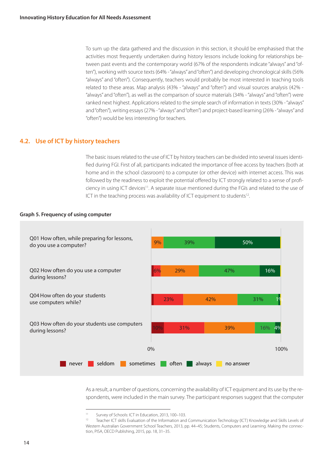To sum up the data gathered and the discussion in this section, it should be emphasised that the activities most frequently undertaken during history lessons include looking for relationships between past events and the contemporary world (67% of the respondents indicate "always" and "often"), working with source texts (64% - "always" and "often") and developing chronological skills (56% "always" and "often"). Consequently, teachers would probably be most interested in teaching tools related to these areas. Map analysis (43% - "always" and "often") and visual sources analysis (42% - "always" and "often"), as well as the comparison of source materials (34% - "always" and "often") were ranked next highest. Applications related to the simple search of information in texts (30% - "always" and "often"), writing essays (27% - "always" and "often") and project-based learning (26% - "always" and "often") would be less interesting for teachers.

## **4.2. Use of ICT by history teachers**

The basic issues related to the use of ICT by history teachers can be divided into several issues identified during FGI. First of all, participants indicated the importance of free access by teachers (both at home and in the school classroom) to a computer (or other device) with internet access. This was followed by the readiness to exploit the potential offered by ICT strongly related to a sense of proficiency in using ICT devices<sup>11</sup>. A separate issue mentioned during the FGIs and related to the use of ICT in the teaching process was availability of ICT equipment to students<sup>12</sup>.

#### **Graph 5. Frequency of using computer**

![](_page_13_Figure_5.jpeg)

As a result, a number of questions, concerning the availability of ICT equipment and its use by the respondents, were included in the main survey. The participant responses suggest that the computer

<sup>11</sup> Survey of Schools: ICT in Education, 2013, 100–103.

<sup>12</sup> Teacher ICT skills Evaluation of the Information and Communication Technology (ICT) Knowledge and Skills Levels of Western Australian Government School Teachers, 2013, pp. 44–45; Students, Computers and Learning. Making the connection, PISA, OECD Publishing, 2015, pp. 18, 31–35.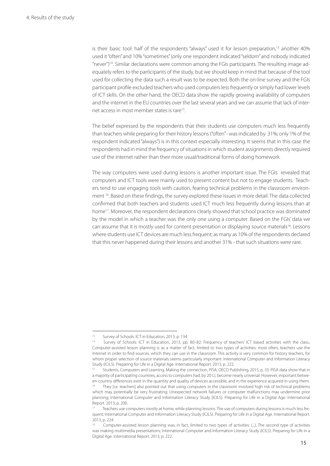is their basic tool: half of the respondents "always" used it for lesson preparation,<sup>13</sup> another 40% used it "often" and 10% "sometimes" (only one respondent indicated "seldom" and nobody indicated "never")14. Similar declarations were common among the FGIs participants. The resulting image adequately refers to the participants of the study, but we should keep in mind that because of the tool used for collecting the data such a result was to be expected. Both the on-line survey and the FGIs participant profile excluded teachers who used computers less frequently or simply had lower levels of ICT skills. On the other hand, the OECD data show the rapidly growing availability of computers and the internet in the EU countries over the last several years and we can assume that lack of internet access in most member states is rare15.

The belief expressed by the respondents that their students use computers much less frequently than teachers while preparing for their history lessons ("often" - was indicated by 31%; only 1% of the respondent indicated "always") is in this context especially interesting. It seems that in this case the respondents had in mind the frequency of situations in which student assignments directly required use of the internet rather than their more usual/traditional forms of doing homework.

The way computers were used during lessons is another important issue. The FGIs revealed that computers and ICT tools were mainly used to present content but not to engage students. Teachers tend to use engaging tools with caution, fearing technical problems in the classroom environment <sup>16</sup>. Based on these findings, the survey explored these issues in more detail. The data collected confirmed that both teachers and students used ICT much less frequently during lessons than at home<sup>17</sup>. Moreover, the respondent declarations clearly showed that school practice was dominated by the model in which a teacher was the only one using a computer. Based on the FGIs' data we can assume that it is mostly used for content presentation or displaying source materials<sup>18</sup>. Lessons where students use ICT devices are much less frequent; as many as 10% of the respondents declared that this never happened during their lessons and another 31% - that such situations were rare.

<sup>13</sup> Survey of Schools: ICT in Education, 2013, p. 134.<br>14 Survey of Schools: ICT in Education, 2013, p.

Survey of Schools: ICT in Education, 2013, pp. 80–82: Frequency of teachers' ICT based activities with the class.; Computer-assisted lesson planning is as a matter of fact, limited to two types of activities: most often, teachers use the Internet in order to find sources, which they can use in the classroom. This activity is very common for history teachers, for whom proper selection of source materials seems particularly important. International Computer and Information Literacy Study (ICILS). Preparing for Life in a Digital Age. International Report. 2013, p. 222.

Students, Computers and Learning. Making the connection, PISA, OECD Publishing, 2015, p. 33: PISA data show that in a majority of participating countries, access to computers had, by 2012, become nearly universal. However, important between-country differences exist in the quantity and quality of devices accessible, and in the experience acquired in using them. They [i.e. teachers] also pointed out that using computers in the classroom involved high risk of technical problems which may potentially be very frustrating. Unexpected network failures or computer malfunctions may undermine prior planning; International Computer and Information Literacy Study (ICILS). Preparing for Life in a Digital Age. International Report. 2013, p. 200.

Teachers use computers mostly at home, while planning lessons. The use of computers during lessons is much less frequent; International Computer and Information Literacy Study (ICILS). Preparing for Life in a Digital Age. International Report. 2013, p. 224.

<sup>18</sup> Computer-assisted lesson planning was, in fact, limited to two types of activities: (...). The second type of activities was making multimedia presentations; International Computer and Information Literacy Study (ICILS). Preparing for Life in a Digital Age. International Report. 2013, p. 222.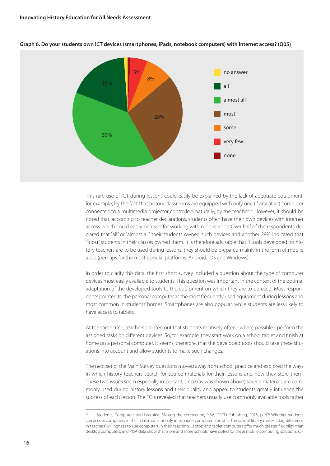![](_page_15_Figure_1.jpeg)

#### **Graph 6. Do your students own ICT devices (smartphones, iPads, notebook computers) with Internet access? (Q05)**

This rare use of ICT during lessons could easily be explained by the lack of adequate equipment, for example, by the fact that history classrooms are equipped with only one (if any at all) computer connected to a multimedia projector controlled, naturally, by the teacher<sup>19</sup>. However, it should be noted that, according to teacher declarations, students often have their own devices with internet access which could easily be used for working with mobile apps. Over half of the respondents declared that "all" or "almost all" their students owned such devices and another 28% indicated that "most" students in their classes owned them. It is therefore advisable that if tools developed for history teachers are to be used during lessons, they should be prepared mainly in the form of mobile apps (perhaps for the most popular platforms: Android, iOS and Windows).

In order to clarify this data, the first short survey included a question about the type of computer devices most easily available to students. This question was important in the context of the optimal adaptation of the developed tools to the equipment on which they are to be used. Most respondents pointed to the personal computer as the most frequently used equipment during lessons and most common in students' homes. Smartphones are also popular, while students are less likely to have access to tablets.

At the same time, teachers pointed out that students relatively often - where possible - perform the assigned tasks on different devices. So, for example, they start work on a school tablet and finish at home on a personal computer. It seems, therefore, that the developed tools should take these situations into account and allow students to make such changes.

The next set of the Main Survey questions moved away from school practice and explored the ways in which history teachers search for source materials for their lessons and how they store them. These two issues seem especially important, since (as was shown above) source materials are commonly used during history lessons and their quality and appeal to students greatly influence the success of each lesson. The FGIs revealed that teachers usually use commonly available tools rather

<sup>&</sup>lt;sup>19</sup> Students, Computers and Learning. Making the connection, PISA, OECD Publishing, 2015, p. 67: Whether students can access computers in their classrooms or only in separate computer labs or at the school library makes a big difference in teachers' willingness to use computers in their teaching. Laptop and tablet computers offer much greater flexibility than desktop computers, and PISA data show that more and more schools have opted for these mobile computing solutions. (...).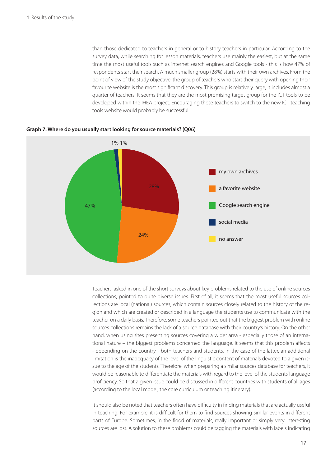than those dedicated to teachers in general or to history teachers in particular. According to the survey data, while searching for lesson materials, teachers use mainly the easiest, but at the same time the most useful tools such as internet search engines and Google tools - this is how 47% of respondents start their search. A much smaller group (28%) starts with their own archives. From the point of view of the study objective, the group of teachers who start their query with opening their favourite website is the most significant discovery. This group is relatively large, it includes almost a quarter of teachers. It seems that they are the most promising target group for the ICT tools to be developed within the IHEA project. Encouraging these teachers to switch to the new ICT teaching tools website would probably be successful.

![](_page_16_Figure_2.jpeg)

**Graph 7. Where do you usually start looking for source materials? (Q06)**

Teachers, asked in one of the short surveys about key problems related to the use of online sources collections, pointed to quite diverse issues. First of all, it seems that the most useful sources collections are local (national) sources, which contain sources closely related to the history of the region and which are created or described in a language the students use to communicate with the teacher on a daily basis. Therefore, some teachers pointed out that the biggest problem with online sources collections remains the lack of a source database with their country's history. On the other hand, when using sites presenting sources covering a wider area - especially those of an international nature – the biggest problems concerned the language. It seems that this problem affects - depending on the country - both teachers and students. In the case of the latter, an additional limitation is the inadequacy of the level of the linguistic content of materials devoted to a given issue to the age of the students. Therefore, when preparing a similar sources database for teachers, it would be reasonable to differentiate the materials with regard to the level of the students' language proficiency. So that a given issue could be discussed in different countries with students of all ages (according to the local model, the core curriculum or teaching itinerary).

It should also be noted that teachers often have difficulty in finding materials that are actually useful in teaching. For example, it is difficult for them to find sources showing similar events in different parts of Europe. Sometimes, in the flood of materials, really important or simply very interesting sources are lost. A solution to these problems could be tagging the materials with labels indicating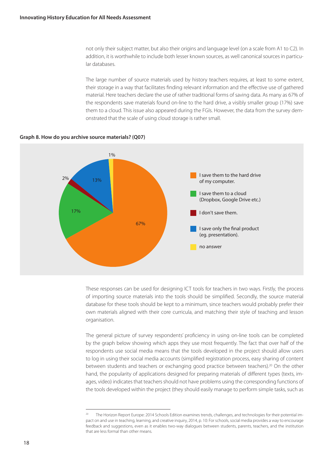not only their subject matter, but also their origins and language level (on a scale from A1 to C2). In addition, it is worthwhile to include both lesser known sources, as well canonical sources in particular databases.

The large number of source materials used by history teachers requires, at least to some extent, their storage in a way that facilitates finding relevant information and the effective use of gathered material. Here teachers declare the use of rather traditional forms of saving data. As many as 67% of the respondents save materials found on-line to the hard drive, a visibly smaller group (17%) save them to a cloud. This issue also appeared during the FGIs. However, the data from the survey demonstrated that the scale of using cloud storage is rather small.

![](_page_17_Figure_3.jpeg)

**Graph 8. How do you archive source materials? (Q07)**

These responses can be used for designing ICT tools for teachers in two ways. Firstly, the process of importing source materials into the tools should be simplified. Secondly, the source material database for these tools should be kept to a minimum, since teachers would probably prefer their own materials aligned with their core curricula, and matching their style of teaching and lesson organisation.

The general picture of survey respondents' proficiency in using on-line tools can be completed by the graph below showing which apps they use most frequently. The fact that over half of the respondents use social media means that the tools developed in the project should allow users to log in using their social media accounts (simplified registration process, easy sharing of content between students and teachers or exchanging good practice between teachers).<sup>20</sup> On the other hand, the popularity of applications designed for preparing materials of different types (texts, images, video) indicates that teachers should not have problems using the corresponding functions of the tools developed within the project (they should easily manage to perform simple tasks, such as

The Horizon Report Europe: 2014 Schools Edition examines trends, challenges, and technologies for their potential impact on and use in teaching, learning, and creative inquiry, 2014, p. 10: For schools, social media provides a way to encourage feedback and suggestions, even as it enables two-way dialogues between students, parents, teachers, and the institution that are less formal than other means.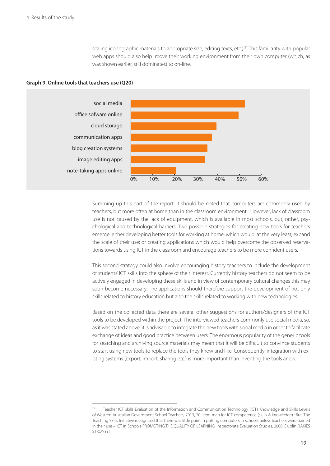scaling iconographic materials to appropriate size, editing texts, etc.).<sup>21</sup> This familiarity with popular web apps should also help move their working environment from their own computer (which, as was shown earlier, still dominates) to on-line.

![](_page_18_Figure_2.jpeg)

![](_page_18_Figure_3.jpeg)

Summing up this part of the report, it should be noted that computers are commonly used by teachers, but more often at home than in the classroom environment. However, lack of classroom use is not caused by the lack of equipment, which is available in most schools, but, rather, psychological and technological barriers. Two possible strategies for creating new tools for teachers emerge: either developing better tools for working at home, which would, at the very least, expand the scale of their use; or creating applications which would help overcome the observed reservations towards using ICT in the classroom and encourage teachers to be more confident users.

This second strategy could also involve encouraging history teachers to include the development of students' ICT skills into the sphere of their interest. Currently history teachers do not seem to be actively engaged in developing these skills and in view of contemporary cultural changes this may soon become necessary. The applications should therefore support the development of not only skills related to history education but also the skills related to working with new technologies.

Based on the collected data there are several other suggestions for authors/designers of the ICT tools to be developed within the project. The interviewed teachers commonly use social media, so, as it was stated above, it is advisable to integrate the new tools with social media in order to facilitate exchange of ideas and good practice between users. The enormous popularity of the generic tools for searching and archiving source materials may mean that it will be difficult to convince students to start using new tools to replace the tools they know and like. Consequently, integration with existing systems (export, import, sharing etc.) is more important than inventing the tools anew.

Teacher ICT skills Evaluation of the Information and Communication Technology (ICT) Knowledge and Skills Levels of Western Australian Government School Teachers, 2013, 20: Item map for ICT competence (skills & knowledge).; But: The Teaching Skills Initiative recognised that there was little point in putting computers in schools unless teachers were trained in their use – ICT in Schools PROMOTING THE QUALITY OF LEARNING. Inspectorate Evaluation Studies, 2008, Dublin [JAKIEŚ STRONY?].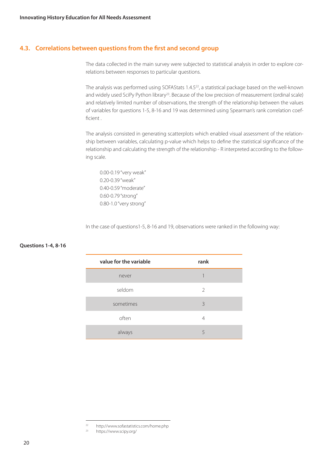# **4.3. Correlations between questions from the first and second group**

The data collected in the main survey were subjected to statistical analysis in order to explore correlations between responses to particular questions.

The analysis was performed using SOFAStats 1.4.5<sup>22</sup>, a statistical package based on the well-known and widely used SciPy Python library<sup>23</sup>. Because of the low precision of measurement (ordinal scale) and relatively limited number of observations, the strength of the relationship between the values of variables for questions 1-5, 8-16 and 19 was determined using Spearman's rank correlation coefficient .

The analysis consisted in generating scatterplots which enabled visual assessment of the relationship between variables, calculating p-value which helps to define the statistical significance of the relationship and calculating the strength of the relationship - R interpreted according to the following scale.

0.00-0.19 "very weak" 0.20-0.39 "weak" 0.40-0.59 "moderate" 0.60-0.79 "strong" 0.80-1.0 "very strong"

In the case of questions1-5, 8-16 and 19, observations were ranked in the following way:

| Questions 1-4, 8-16 |  |
|---------------------|--|
|---------------------|--|

| value for the variable | rank |
|------------------------|------|
| never                  |      |
| seldom                 | 2    |
| sometimes              | 3    |
| often                  | 4    |
| always                 | 5    |

<sup>&</sup>lt;sup>22</sup> http://www.sofastatistics.com/home.php<br><sup>23</sup> https://www.scipy.org/

https://www.scipy.org/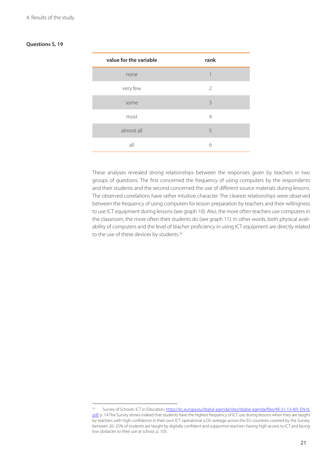## **Questions 5, 19**

| value for the variable | rank |
|------------------------|------|
| none                   | 1    |
| very few               | 2    |
| some                   | 3    |
| most                   | 4    |
| almost all             | 5    |
| all                    | 6    |

These analyses revealed strong relationships between the responses given by teachers in two groups of questions. The first concerned the frequency of using computers by the respondents and their students and the second concerned the use of different source materials during lessons. The observed correlations have rather intuitive character. The clearest relationships were observed between the frequency of using computers for lesson preparation by teachers and their willingness to use ICT equipment during lessons (see graph 10). Also, the more often teachers use computers in the classroom, the more often their students do (see graph 11). In other words, both physical availability of computers and the level of teacher proficiency in using ICT equipment are directly related to the use of these devices by students.<sup>24</sup>

<sup>24</sup> Survey of Schools: ICT in Education; https://ec.europa.eu/digital-agenda/sites/digital-agenda/files/KK-31-13-401-EN-N. pdf, p. 14:The Survey shows indeed that students have the highest frequency of ICT use during lessons when they are taught by teachers with high confidence in their own ICT operational a On average across the EU countries covered by the Survey, between 20–25% of students are taught by digitally confident and supportive teachers having high access to ICT and facing low obstacles to their use at school. p. 103.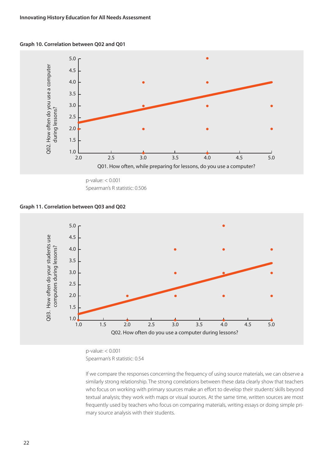#### **Graph 10. Correlation between Q02 and Q01**

![](_page_21_Figure_2.jpeg)

p-value: < 0.001 Spearman's R statistic: 0.506

#### **Graph 11. Correlation between Q03 and Q02**

![](_page_21_Figure_5.jpeg)

p-value: < 0.001 Spearman's R statistic: 0.54

If we compare the responses concerning the frequency of using source materials, we can observe a similarly strong relationship. The strong correlations between these data clearly show that teachers who focus on working with primary sources make an effort to develop their students' skills beyond textual analysis; they work with maps or visual sources. At the same time, written sources are most frequently used by teachers who focus on comparing materials, writing essays or doing simple primary source analysis with their students.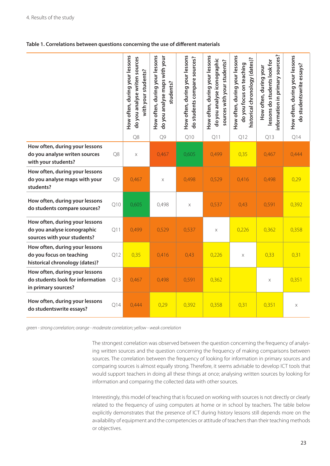#### **Table 1. Correlations between questions concerning the use of different materials**

|                                                                                              |     | How often, during your lessons<br>do you analyse writen sources<br>with your students? | How often, during your lessons<br>do you analyse maps with your<br>students? | How often, during your lessons<br>do students compare sources? | How often, during your lessons<br>do you analyse iconographic<br>sources with your students? | How often, during your lessons<br>historical chronology (dates)?<br>do you focus on teaching | information in primary sources?<br>lessons do students look for<br>How often, during your | How often, during your lessons<br>do studentswrite essays? |
|----------------------------------------------------------------------------------------------|-----|----------------------------------------------------------------------------------------|------------------------------------------------------------------------------|----------------------------------------------------------------|----------------------------------------------------------------------------------------------|----------------------------------------------------------------------------------------------|-------------------------------------------------------------------------------------------|------------------------------------------------------------|
|                                                                                              |     | Q8                                                                                     | Q9                                                                           | Q10                                                            | Q11                                                                                          | Q12                                                                                          | Q13                                                                                       | Q14                                                        |
| How often, during your lessons<br>do you analyse writen sources<br>with your students?       | Q8  | $\mathsf X$                                                                            | 0,467                                                                        | 0,605                                                          | 0,499                                                                                        | 0,35                                                                                         | 0,467                                                                                     | 0,444                                                      |
| How often, during your lessons<br>do you analyse maps with your<br>students?                 | Q9  | 0,467                                                                                  | X                                                                            | 0,498                                                          | 0,529                                                                                        | 0,416                                                                                        | 0,498                                                                                     | 0,29                                                       |
| How often, during your lessons<br>do students compare sources?                               | Q10 | 0,605                                                                                  | 0,498                                                                        | $\times$                                                       | 0,537                                                                                        | 0,43                                                                                         | 0,591                                                                                     | 0,392                                                      |
| How often, during your lessons<br>do you analyse iconographic<br>sources with your students? | Q11 | 0,499                                                                                  | 0,529                                                                        | 0,537                                                          | X                                                                                            | 0,226                                                                                        | 0,362                                                                                     | 0,358                                                      |
| How often, during your lessons<br>do you focus on teaching<br>historical chronology (dates)? | Q12 | 0,35                                                                                   | 0,416                                                                        | 0,43                                                           | 0,226                                                                                        | $\times$                                                                                     | 0,33                                                                                      | 0,31                                                       |
| How often, during your lessons<br>do students look for information<br>in primary sources?    | Q13 | 0,467                                                                                  | 0,498                                                                        | 0,591                                                          | 0,362                                                                                        |                                                                                              | X                                                                                         | 0,351                                                      |
| How often, during your lessons<br>do studentswrite essays?                                   | Q14 | 0,444                                                                                  | 0,29                                                                         | 0,392                                                          | 0,358                                                                                        | 0,31                                                                                         | 0,351                                                                                     | X                                                          |

*green - strong correlation; orange - moderate correlation; yellow - weak correlation*

The strongest correlation was observed between the question concerning the frequency of analysing written sources and the question concerning the frequency of making comparisons between sources. The correlation between the frequency of looking for information in primary sources and comparing sources is almost equally strong. Therefore, it seems advisable to develop ICT tools that would support teachers in doing all these things at once; analysing written sources by looking for information and comparing the collected data with other sources.

Interestingly, this model of teaching that is focused on working with sources is not directly or clearly related to the frequency of using computers at home or in school by teachers. The table below explicitly demonstrates that the presence of ICT during history lessons still depends more on the availability of equipment and the competencies or attitude of teachers than their teaching methods or objectives.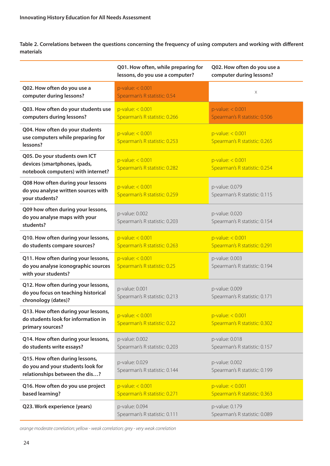**Table 2. Correlations between the questions concerning the frequency of using computers and working with different materials** 

|                                                                                                       | Q01. How often, while preparing for<br>lessons, do you use a computer? | Q02. How often do you use a<br>computer during lessons? |
|-------------------------------------------------------------------------------------------------------|------------------------------------------------------------------------|---------------------------------------------------------|
| Q02. How often do you use a<br>computer during lessons?                                               | $p$ -value: < 0.001<br>Spearman's R statistic: 0.54                    | X                                                       |
| Q03. How often do your students use<br>computers during lessons?                                      | $p$ -value: < 0.001<br>Spearman's R statistic: 0.266                   | $p$ -value: < 0.001<br>Spearman's R statistic: 0.506    |
| Q04. How often do your students<br>use computers while preparing for<br>lessons?                      | $p$ -value: < 0.001<br>Spearman's R statistic: 0.253                   | $p$ -value: < 0.001<br>Spearman's R statistic: 0.265    |
| Q05. Do your students own ICT<br>devices (smartphones, ipads,<br>notebook computers) with internet?   | $p$ -value: < $0.001$<br>Spearman's R statistic: 0.282                 | $p$ -value: < 0.001<br>Spearman's R statistic: 0.254    |
| Q08 How often during your lessons<br>do you analyse written sources with<br>your students?            | $p$ -value: < 0.001<br>Spearman's R statistic: 0.259                   | p-value: 0.079<br>Spearman's R statistic: 0.115         |
| Q09 how often during your lessons,<br>do you analyse maps with your<br>students?                      | p-value: 0.002<br>Spearman's R statistic: 0.203                        | p-value: 0.020<br>Spearman's R statistic: 0.154         |
| Q10. How often during your lessons,<br>do students compare sources?                                   | $p$ -value: < 0.001<br>Spearman's R statistic: 0.263                   | $p$ -value: < 0.001<br>Spearman's R statistic: 0.291    |
| Q11. How often during your lessons,<br>do you analyse iconographic sources<br>with your students?     | $p$ -value: < 0.001<br>Spearman's R statistic: 0.25                    | p-value: 0.003<br>Spearman's R statistic: 0.194         |
| Q12. How often during your lessons,<br>do you focus on teaching historical<br>chronology (dates)?     | p-value: 0.001<br>Spearman's R statistic: 0.213                        | p-value: 0.009<br>Spearman's R statistic: 0.171         |
| Q13. How often during your lessons,<br>do students look for information in<br>primary sources?        | $p$ -value: < $0.001$<br>Spearman's R statistic: 0.22                  | $p$ -value: < 0.001<br>Spearman's R statistic: 0.302    |
| Q14. How often during your lessons,<br>do students write essays?                                      | p-value: 0.002<br>Spearman's R statistic: 0.203                        | p-value: 0.018<br>Spearman's R statistic: 0.157         |
| Q15. How often during lessons,<br>do you and your students look for<br>relationships between the dis? | p-value: 0.029<br>Spearman's R statistic: 0.144                        | p-value: 0.002<br>Spearman's R statistic: 0.199         |
| Q16. How often do you use project<br>based learning?                                                  | $p$ -value: < 0.001<br>Spearman's R statistic: 0.271                   | $p$ -value: < 0.001<br>Spearman's R statistic: 0.363    |
| Q23. Work experience (years)                                                                          | p-value: 0.094<br>Spearman's R statistic: 0.111                        | p-value: 0.179<br>Spearman's R statistic: 0.089         |

*orange moderate correlation; yellow - weak correlation; grey - very weak correlation*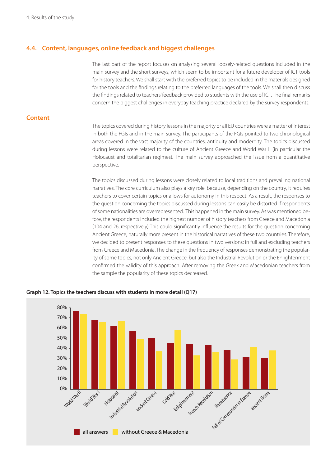# **4.4. Content, languages, online feedback and biggest challenges**

The last part of the report focuses on analysing several loosely-related questions included in the main survey and the short surveys, which seem to be important for a future developer of ICT tools for history teachers. We shall start with the preferred topics to be included in the materials designed for the tools and the findings relating to the preferred languages of the tools. We shall then discuss the findings related to teachers' feedback provided to students with the use of ICT. The final remarks concern the biggest challenges in everyday teaching practice declared by the survey respondents.

# **Content**

The topics covered during history lessons in the majority or all EU countries were a matter of interest in both the FGIs and in the main survey. The participants of the FGIs pointed to two chronological areas covered in the vast majority of the countries: antiquity and modernity. The topics discussed during lessons were related to the culture of Ancient Greece and World War II (in particular the Holocaust and totalitarian regimes). The main survey approached the issue from a quantitative perspective.

The topics discussed during lessons were closely related to local traditions and prevailing national narratives. The core curriculum also plays a key role, because, depending on the country, it requires teachers to cover certain topics or allows for autonomy in this respect. As a result, the responses to the question concerning the topics discussed during lessons can easily be distorted if respondents of some nationalities are overrepresented. This happened in the main survey. As was mentioned before, the respondents included the highest number of history teachers from Greece and Macedonia (104 and 26, respectively) This could significantly influence the results for the question concerning Ancient Greece, naturally more present in the historical narratives of these two countries. Therefore, we decided to present responses to these questions in two versions; in full and excluding teachers from Greece and Macedonia. The change in the frequency of responses demonstrating the popularity of some topics, not only Ancient Greece, but also the Industrial Revolution or the Enlightenment confirmed the validity of this approach. After removing the Greek and Macedonian teachers from the sample the popularity of these topics decreased.

![](_page_24_Figure_6.jpeg)

**Graph 12. Topics the teachers discuss with students in more detail (Q17)**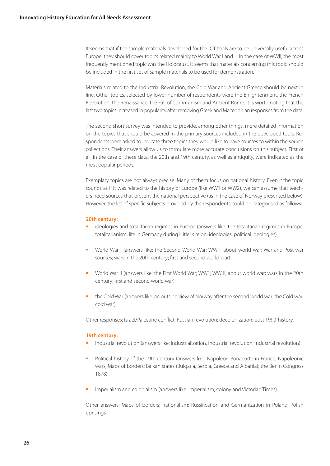It seems that if the sample materials developed for the ICT tools are to be universally useful across Europe, they should cover topics related mainly to World War I and II. In the case of WWII, the most frequently mentioned topic was the Holocaust. It seems that materials concerning this topic should be included in the first set of sample materials to be used for demonstration.

Materials related to the Industrial Revolution, the Cold War and Ancient Greece should be next in line. Other topics, selected by lower number of respondents were the Enlightenment, the French Revolution, the Renaissance, the Fall of Communism and Ancient Rome. It is worth noting that the last two topics increased in popularity after removing Greek and Macedonian responses from the data.

The second short survey was intended to provide, among other things, more detailed information on the topics that should be covered in the primary sources included in the developed tools. Respondents were asked to indicate three topics they would like to have sources to within the source collections. Their answers allow us to formulate more accurate conclusions on this subject. First of all, in the case of these data, the 20th and 19th century, as well as antiquity, were indicated as the most popular periods.

Exemplary topics are not always precise. Many of them focus on national history. Even if the topic sounds as if it was related to the history of Europe (like WW1 or WW2), we can assume that teachers need sources that present the national perspective (as in the case of Norway presented below). However, the list of specific subjects provided by the respondents could be categorised as follows:

#### **20th century:**

- **ideologies and totalitarian regimes in Europe (answers like: the totalitarian regimes in Europe;** totalitarianism; life in Germany during Hitler's reign; ideologies; political ideologies)
- World War I (answers like: the Second World War; WW I; about world war; War and Post-war sources; wars in the 20th century; first and second world war)
- World War II (answers like: the First World War; WW1; WW II, about world war; wars in the 20th century; first and second world war)
- **the Cold War (answers like: an outside view of Norway after the second world war; the Cold war;** cold war)

Other responses: Israel/Palestine conflict; Russian revolution; decolonization; post 1990-history.

#### **19th century:**

- **Industrial revolution (answers like: industrialization, Industrial revolution; Industrial revolution)**
- **Political history of the 19th century (answers like: Napoleon Bonaparte in France; Napoleonic** wars; Maps of borders; Balkan states (Bulgaria, Serbia, Greece and Albania); the Berlin Congress 1878)
- **Imperialism and colonialism (answers like: imperialism, colony and Victorian Times)**

Other answers: Maps of borders; nationalism; Russification and Germanization in Poland, Polish uprisings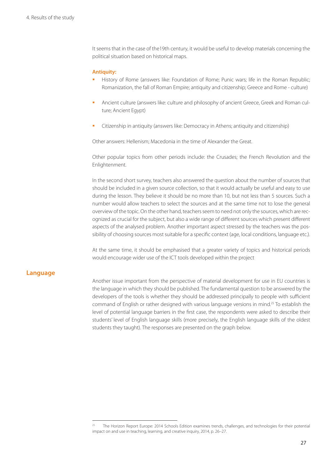It seems that in the case of the19th century, it would be useful to develop materials concerning the political situation based on historical maps.

#### **Antiquity:**

- History of Rome (answers like: Foundation of Rome; Punic wars; life in the Roman Republic; Romanization, the fall of Roman Empire; antiquity and citizenship; Greece and Rome - culture)
- Ancient culture (answers like: culture and philosophy of ancient Greece, Greek and Roman culture; Ancient Egypt)
- Citizenship in antiquity (answers like: Democracy in Athens; antiquity and citizenship)

Other answers: Hellenism; Macedonia in the time of Alexander the Great.

Other popular topics from other periods include: the Crusades; the French Revolution and the Enlightenment.

In the second short survey, teachers also answered the question about the number of sources that should be included in a given source collection, so that it would actually be useful and easy to use during the lesson. They believe it should be no more than 10, but not less than 5 sources. Such a number would allow teachers to select the sources and at the same time not to lose the general overview of the topic. On the other hand, teachers seem to need not only the sources, which are recognized as crucial for the subject, but also a wide range of different sources which present different aspects of the analysed problem. Another important aspect stressed by the teachers was the possibility of choosing sources most suitable for a specific context (age, local conditions, language etc.).

At the same time, it should be emphasised that a greater variety of topics and historical periods would encourage wider use of the ICT tools developed within the project

#### **Language**

Another issue important from the perspective of material development for use in EU countries is the language in which they should be published. The fundamental question to be answered by the developers of the tools is whether they should be addressed principally to people with sufficient command of English or rather designed with various language versions in mind.25 To establish the level of potential language barriers in the first case, the respondents were asked to describe their students' level of English language skills (more precisely, the English language skills of the oldest students they taught). The responses are presented on the graph below.

<sup>25</sup> The Horizon Report Europe: 2014 Schools Edition examines trends, challenges, and technologies for their potential impact on and use in teaching, learning, and creative inquiry, 2014, p. 26–27.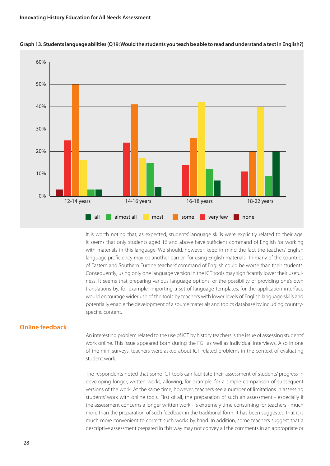![](_page_27_Figure_1.jpeg)

#### **Graph 13. Students language abilities (Q19: Would the students you teach be able to read and understand a text in English?)**

It is worth noting that, as expected, students' language skills were explicitly related to their age. It seems that only students aged 16 and above have sufficient command of English for working with materials in this language. We should, however, keep in mind the fact the teachers' English language proficiency may be another barrier for using English materials. In many of the countries of Eastern and Southern Europe teachers' command of English could be worse than their students. Consequently, using only one language version in the ICT tools may significantly lower their usefulness. It seems that preparing various language options, or the possibility of providing one's own translations by, for example, importing a set of language templates, for the application interface would encourage wider use of the tools by teachers with lower levels of English language skills and potentially enable the development of a source materials and topics database by including countryspecific content.

## **Online feedback**

An interesting problem related to the use of ICT by history teachers is the issue of assessing students' work online. This issue appeared both during the FGI, as well as individual interviews. Also in one of the mini surveys, teachers were asked about ICT-related problems in the context of evaluating student work.

The respondents noted that some ICT tools can facilitate their assessment of students' progress in developing longer, written works, allowing, for example, for a simple comparison of subsequent versions of the work. At the same time, however, teachers see a number of limitations in assessing students' work with online tools. First of all, the preparation of such an assessment - especially if the assessment concerns a longer written work - is extremely time consuming for teachers - much more than the preparation of such feedback in the traditional form. It has been suggested that it is much more convenient to correct such works by hand. In addition, some teachers suggest that a descriptive assessment prepared in this way may not convey all the comments in an appropriate or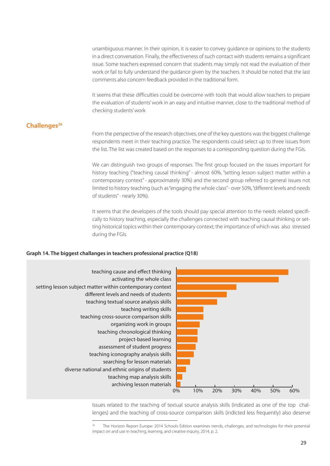unambiguous manner. In their opinion, it is easier to convey guidance or opinions to the students in a direct conversation. Finally, the effectiveness of such contact with students remains a significant issue. Some teachers expressed concern that students may simply not read the evaluation of their work or fail to fully understand the guidance given by the teachers. It should be noted that the last comments also concern feedback provided in the traditional form.

It seems that these difficulties could be overcome with tools that would allow teachers to prepare the evaluation of students' work in an easy and intuitive manner, close to the traditional method of checking students' work

# **Challenges26**

From the perspective of the research objectives, one of the key questions was the biggest challenge respondents meet in their teaching practice. The respondents could select up to three issues from the list. The list was created based on the responses to a corresponding question during the FGIs.

We can distinguish two groups of responses. The first group focused on the issues important for history teaching ("teaching causal thinking" - almost 60%, "setting lesson subject matter within a contemporary context" - approximately 30%) and the second group referred to general issues not limited to history teaching (such as "engaging the whole class" - over 50%, "different levels and needs of students" - nearly 30%).

It seems that the developers of the tools should pay special attention to the needs related specifically to history teaching, especially the challenges connected with teaching causal thinking or setting historical topics within their contemporary context; the importance of which was also stressed during the FGIs.

### **Graph 14. The biggest challanges in teachers professional practice (Q18)**

![](_page_28_Figure_7.jpeg)

Issues related to the teaching of textual source analysis skills (indicated as one of the top challenges) and the teaching of cross-source comparison skills (indicted less frequently) also deserve

<sup>26</sup> The Horizon Report Europe: 2014 Schools Edition examines trends, challenges, and technologies for their potential impact on and use in teaching, learning, and creative inquiry, 2014, p. 2.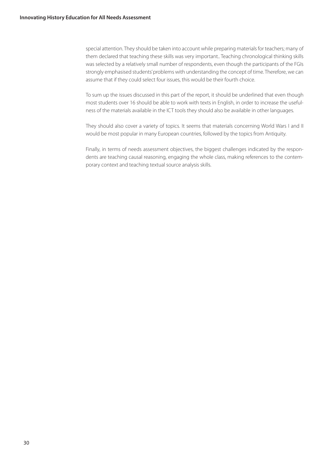special attention. They should be taken into account while preparing materials for teachers; many of them declared that teaching these skills was very important.. Teaching chronological thinking skills was selected by a relatively small number of respondents, even though the participants of the FGIs strongly emphasised students' problems with understanding the concept of time. Therefore, we can assume that if they could select four issues, this would be their fourth choice.

To sum up the issues discussed in this part of the report, it should be underlined that even though most students over 16 should be able to work with texts in English, in order to increase the usefulness of the materials available in the ICT tools they should also be available in other languages.

They should also cover a variety of topics. It seems that materials concerning World Wars I and II would be most popular in many European countries, followed by the topics from Antiquity.

Finally, in terms of needs assessment objectives, the biggest challenges indicated by the respondents are teaching causal reasoning, engaging the whole class, making references to the contemporary context and teaching textual source analysis skills.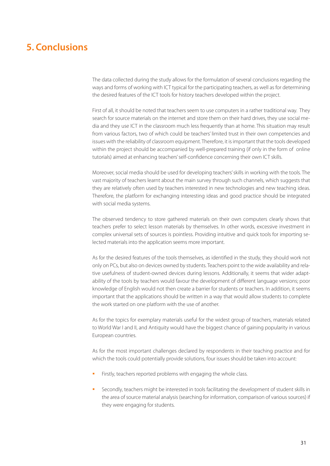# **5. Conclusions**

The data collected during the study allows for the formulation of several conclusions regarding the ways and forms of working with ICT typical for the participating teachers, as well as for determining the desired features of the ICT tools for history teachers developed within the project.

First of all, it should be noted that teachers seem to use computers in a rather traditional way. They search for source materials on the internet and store them on their hard drives, they use social media and they use ICT in the classroom much less frequently than at home. This situation may result from various factors, two of which could be teachers' limited trust in their own competencies and issues with the reliability of classroom equipment. Therefore, it is important that the tools developed within the project should be accompanied by well-prepared training (if only in the form of online tutorials) aimed at enhancing teachers' self-confidence concerning their own ICT skills.

Moreover, social media should be used for developing teachers' skills in working with the tools. The vast majority of teachers learnt about the main survey through such channels, which suggests that they are relatively often used by teachers interested in new technologies and new teaching ideas. Therefore, the platform for exchanging interesting ideas and good practice should be integrated with social media systems.

The observed tendency to store gathered materials on their own computers clearly shows that teachers prefer to select lesson materials by themselves. In other words, excessive investment in complex universal sets of sources is pointless. Providing intuitive and quick tools for importing selected materials into the application seems more important.

As for the desired features of the tools themselves, as identified in the study, they should work not only on PCs, but also on devices owned by students. Teachers point to the wide availability and relative usefulness of student-owned devices during lessons. Additionally, it seems that wider adaptability of the tools by teachers would favour the development of different language versions; poor knowledge of English would not then create a barrier for students or teachers. In addition, it seems important that the applications should be written in a way that would allow students to complete the work started on one platform with the use of another.

As for the topics for exemplary materials useful for the widest group of teachers, materials related to World War I and II, and Antiquity would have the biggest chance of gaining popularity in various European countries.

As for the most important challenges declared by respondents in their teaching practice and for which the tools could potentially provide solutions, four issues should be taken into account:

- Firstly, teachers reported problems with engaging the whole class.
- Secondly, teachers might be interested in tools facilitating the development of student skills in the area of source material analysis (searching for information, comparison of various sources) if they were engaging for students.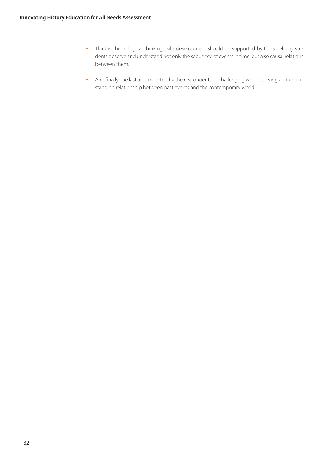- Thirdly, chronological thinking skills development should be supported by tools helping students observe and understand not only the sequence of events in time, but also causal relations between them.
- And finally, the last area reported by the respondents as challenging was observing and understanding relationship between past events and the contemporary world.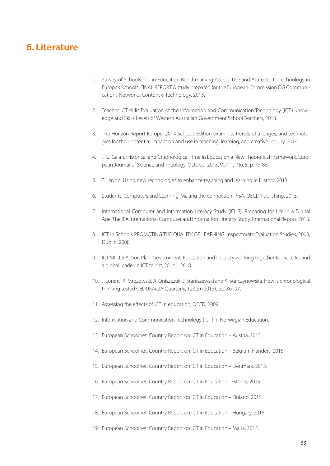# **6. Literature**

- 1. Survey of Schools: ICT in Education Benchmarking Access, Use and Attitudes to Technology in Europe's Schools. FINAL REPORT A study prepared for the European Commission DG Communications Networks, Content & Technology, 2013.
- 2. Teacher ICT skills Evaluation of the Information and Communication Technology (ICT) Knowledge and Skills Levels of Western Australian Government School Teachers, 2013.
- 3. The Horizon Report Europe: 2014 Schools Edition examines trends, challenges, and technologies for their potential impact on and use in teaching, learning, and creative inquiry, 2014.
- 4. J. G. Galán, Historical and Chronological Time in Education a New Theoretical Framework, European Journal of Science and Theology, October 2015, Vol.11, No. 5, p. 77-86.
- 5. T. Haydn, Using new technologies to enhance teaching and learning in History, 2013.
- 6. Students, Computers and Learning. Making the connection, PISA, OECD Publishing, 2015.
- 7. International Computer and Information Literacy Study (ICILS). Preparing for Life in a Digital Age. The IEA International Computer and Information Literacy Study. International Report. 2013.
- 8. ICT in Schools PROMOTING THE QUALITY OF LEARNING. Inspectorate Evaluation Studies, 2008, Dublin, 2008.
- 9. ICT SKILLS Action Plan. Government, Education and Industry working together to make Ireland a global leader in ICT talent, 2014 – 2018.
- 10. J. Lorenc, K. Mrozowski, A. Oniszczuk, J. Staniszewski and K. Starczynowska, How is chronological thinking tested?, EDUKACJA Quarterly, 123(3) (2013), pp. 86–97.
- 11. Assessing the effects of ICT in education, OECD, 2009.
- 12. Information and Communication Technology (ICT) in Norwegian Education.
- 13. European Schoolnet. Country Report on ICT in Education Austria, 2015.
- 14. European Schoolnet. Country Report on ICT in Education Belgium Flanders, 2015.
- 15. European Schoolnet. Country Report on ICT in Education Denmark, 2015.
- 16. European Schoolnet. Country Report on ICT in Education –Estonia, 2015.
- 17. European Schoolnet. Country Report on ICT in Education Finland, 2015.
- 18. European Schoolnet. Country Report on ICT in Education Hungary, 2015.
- 19. European Schoolnet. Country Report on ICT in Education Malta, 2015.